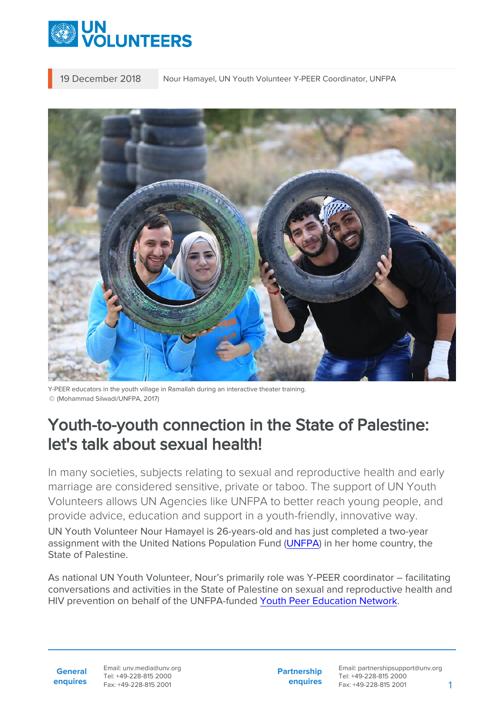

19 December 2018 Nour Hamayel, UN Youth Volunteer Y-PEER Coordinator, UNFPA



Y-PEER educators in the youth village in Ramallah during an interactive theater training. © (Mohammad Silwadi/UNFPA, 2017)

# Youth-to-youth connection in the State of Palestine: let's talk about sexual health!

In many societies, subjects relating to sexual and reproductive health and early marriage are considered sensitive, private or taboo. The support of UN Youth Volunteers allows UN Agencies like UNFPA to better reach young people, and provide advice, education and support in a youth-friendly, innovative way. UN Youth Volunteer Nour Hamayel is 26-years-old and has just completed a two-year assignment with the United Nations Population Fund ([UNFPA\)](https://palestine.unfpa.org/en) in her home country, the State of Palestine.

As national UN Youth Volunteer, Nour's primarily role was Y-PEER coordinator – facilitating conversations and activities in the State of Palestine on sexual and reproductive health and HIV prevention on behalf of the UNFPA-funded [Youth Peer Education Network.](http://y-peer.org/Palestine)

**General enquires**

Email: unv.media@unv.org Tel: +49-228-815 2000 Fax: +49-228-815 2001

**Partnership enquires** Email: partnershipsupport@unv.org Tel: +49-228-815 2000 Fax: +49-228-815 2001 1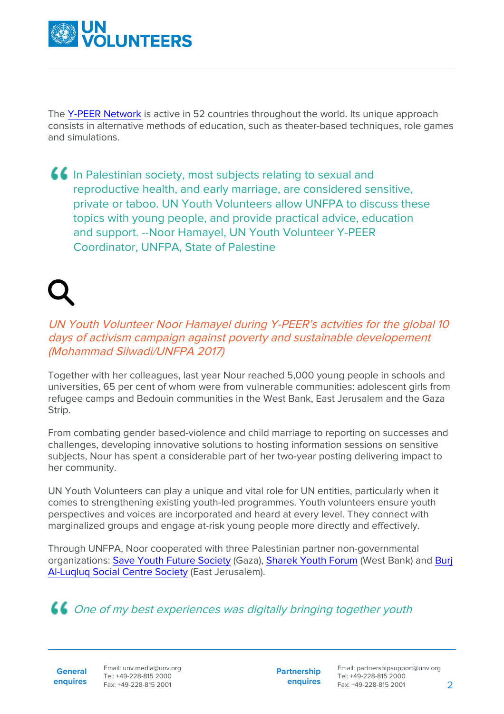

The [Y-PEER Network](http://www.y-peer.org/) is active in 52 countries throughout the world. Its unique approach consists in alternative methods of education, such as theater-based techniques, role games and simulations.

In Palestinian society, most subjects relating to sexual and reproductive health, and early marriage, are considered sensitive, private or taboo. UN Youth Volunteers allow UNFPA to discuss these topics with young people, and provide practical advice, education and support. --Noor Hamayel, UN Youth Volunteer Y-PEER Coordinator, UNFPA, State of Palestine

## UN Youth Volunteer Noor Hamayel during Y-PEER's actvities for the global 10 days of activism campaign against poverty and sustainable developement (Mohammad Silwadi/UNFPA 2017)

Together with her colleagues, last year Nour reached 5,000 young people in schools and universities, 65 per cent of whom were from vulnerable communities: adolescent girls from refugee camps and Bedouin communities in the West Bank, East Jerusalem and the Gaza Strip.

From combating gender based-violence and child marriage to reporting on successes and challenges, developing innovative solutions to hosting information sessions on sensitive subjects, Nour has spent a considerable part of her two-year posting delivering impact to her community.

UN Youth Volunteers can play a unique and vital role for UN entities, particularly when it comes to strengthening existing youth-led programmes. Youth volunteers ensure youth perspectives and voices are incorporated and heard at every level. They connect with marginalized groups and engage at-risk young people more directly and effectively.

Through UNFPA, Noor cooperated with three Palestinian partner non-governmental organizations: [Save Youth Future Society](https://www.syfpal.org/) (Gaza), [Sharek Youth Forum](http://www.sharek.ps/) (West Bank) and [Burj](http://www.burjalluqluq.org/home/) [Al-Luqluq Social Centre Society](http://www.burjalluqluq.org/home/) (East Jerusalem).

# One of my best experiences was digitally bringing together youth

**General enquires** Email: unv.media@unv.org Tel: +49-228-815 2000 Fax: +49-228-815 2001

**Partnership enquires**

Email: partnershipsupport@unv.org Tel: +49-228-815 2000 Fax: +49-228-815 2001 2